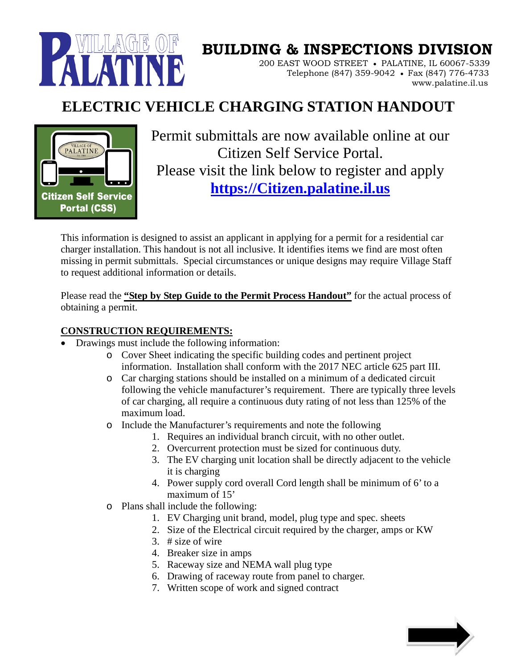

# **BUILDING & INSPECTIONS DIVISION**

 200 EAST WOOD STREET • PALATINE, IL 60067-5339 Telephone (847) 359-9042 • Fax (847) 776-4733 www.palatine.il.us

### **ELECTRIC VEHICLE CHARGING STATION HANDOUT**



Permit submittals are now available online at our Citizen Self Service Portal. Please visit the link below to register and apply **[https://Citizen.palatine.il.us](https://citizen.palatine.il.us/)**

This information is designed to assist an applicant in applying for a permit for a residential car charger installation. This handout is not all inclusive. It identifies items we find are most often missing in permit submittals. Special circumstances or unique designs may require Village Staff to request additional information or details.

Please read the **"Step by Step Guide to the Permit Process Handout"** for the actual process of obtaining a permit.

#### **CONSTRUCTION REQUIREMENTS:**

- Drawings must include the following information:
	- o Cover Sheet indicating the specific building codes and pertinent project information. Installation shall conform with the 2017 NEC article 625 part III.
	- o Car charging stations should be installed on a minimum of a dedicated circuit following the vehicle manufacturer's requirement. There are typically three levels of car charging, all require a continuous duty rating of not less than 125% of the maximum load.
	- o Include the Manufacturer's requirements and note the following
		- 1. Requires an individual branch circuit, with no other outlet.
		- 2. Overcurrent protection must be sized for continuous duty.
		- 3. The EV charging unit location shall be directly adjacent to the vehicle it is charging
		- 4. Power supply cord overall Cord length shall be minimum of 6' to a maximum of 15'
	- o Plans shall include the following:
		- 1. EV Charging unit brand, model, plug type and spec. sheets
		- 2. Size of the Electrical circuit required by the charger, amps or KW
		- 3. # size of wire
		- 4. Breaker size in amps
		- 5. Raceway size and NEMA wall plug type
		- 6. Drawing of raceway route from panel to charger.
		- 7. Written scope of work and signed contract